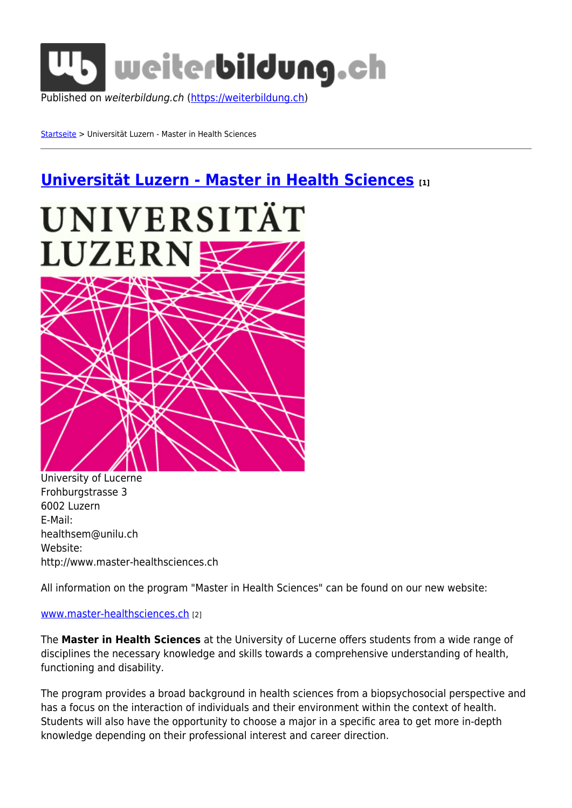

[Startseite](https://weiterbildung.ch/) > Universität Luzern - Master in Health Sciences

# **[Universität Luzern - Master in Health Sciences](https://weiterbildung.ch/universit%C3%A4t-luzern-master-health-sciences) [1]**



University of Lucerne Frohburgstrasse 3 6002 Luzern E-Mail: healthsem@unilu.ch Website: http://www.master-healthsciences.ch

All information on the program "Master in Health Sciences" can be found on our new website:

#### [www.master-healthsciences.ch](http://www.master-healthsciences.ch) [2]

The **Master in Health Sciences** at the University of Lucerne offers students from a wide range of disciplines the necessary knowledge and skills towards a comprehensive understanding of health, functioning and disability.

The program provides a broad background in health sciences from a biopsychosocial perspective and has a focus on the interaction of individuals and their environment within the context of health. Students will also have the opportunity to choose a major in a specific area to get more in-depth knowledge depending on their professional interest and career direction.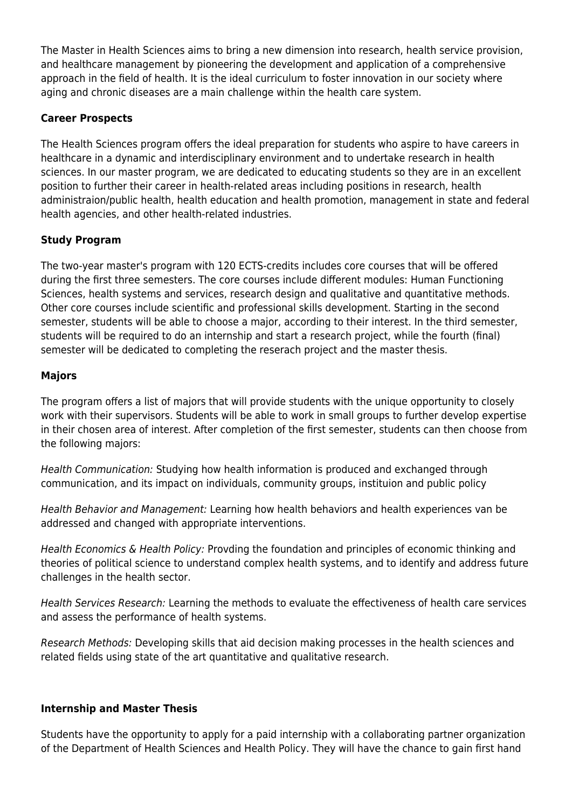The Master in Health Sciences aims to bring a new dimension into research, health service provision, and healthcare management by pioneering the development and application of a comprehensive approach in the field of health. It is the ideal curriculum to foster innovation in our society where aging and chronic diseases are a main challenge within the health care system.

# **Career Prospects**

The Health Sciences program offers the ideal preparation for students who aspire to have careers in healthcare in a dynamic and interdisciplinary environment and to undertake research in health sciences. In our master program, we are dedicated to educating students so they are in an excellent position to further their career in health-related areas including positions in research, health administraion/public health, health education and health promotion, management in state and federal health agencies, and other health-related industries.

# **Study Program**

The two-year master's program with 120 ECTS-credits includes core courses that will be offered during the first three semesters. The core courses include different modules: Human Functioning Sciences, health systems and services, research design and qualitative and quantitative methods. Other core courses include scientific and professional skills development. Starting in the second semester, students will be able to choose a major, according to their interest. In the third semester, students will be required to do an internship and start a research project, while the fourth (final) semester will be dedicated to completing the reserach project and the master thesis.

# **Majors**

The program offers a list of majors that will provide students with the unique opportunity to closely work with their supervisors. Students will be able to work in small groups to further develop expertise in their chosen area of interest. After completion of the first semester, students can then choose from the following majors:

Health Communication: Studying how health information is produced and exchanged through communication, and its impact on individuals, community groups, instituion and public policy

Health Behavior and Management: Learning how health behaviors and health experiences van be addressed and changed with appropriate interventions.

Health Economics & Health Policy: Provding the foundation and principles of economic thinking and theories of political science to understand complex health systems, and to identify and address future challenges in the health sector.

Health Services Research: Learning the methods to evaluate the effectiveness of health care services and assess the performance of health systems.

Research Methods: Developing skills that aid decision making processes in the health sciences and related fields using state of the art quantitative and qualitative research.

#### **Internship and Master Thesis**

Students have the opportunity to apply for a paid internship with a collaborating partner organization of the Department of Health Sciences and Health Policy. They will have the chance to gain first hand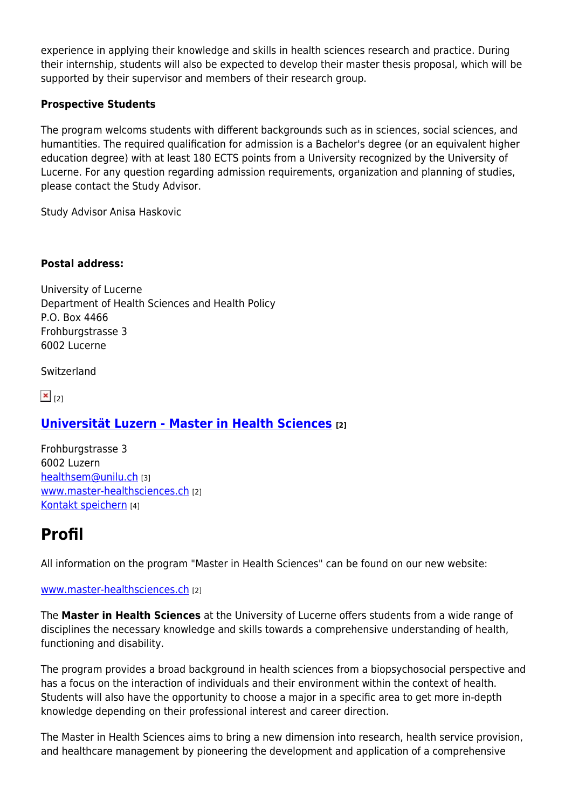experience in applying their knowledge and skills in health sciences research and practice. During their internship, students will also be expected to develop their master thesis proposal, which will be supported by their supervisor and members of their research group.

# **Prospective Students**

The program welcoms students with different backgrounds such as in sciences, social sciences, and humantities. The required qualification for admission is a Bachelor's degree (or an equivalent higher education degree) with at least 180 ECTS points from a University recognized by the University of Lucerne. For any question regarding admission requirements, organization and planning of studies, please contact the Study Advisor.

Study Advisor Anisa Haskovic

# **Postal address:**

University of Lucerne Department of Health Sciences and Health Policy P.O. Box 4466 Frohburgstrasse 3 6002 Lucerne

Switzerland

 $\mathbf{x}|_{121}$ 

# **[Universität Luzern - Master in Health Sciences](http://www.master-healthsciences.ch) [2]**

Frohburgstrasse 3 6002 Luzern [healthsem@unilu.ch](mailto:healthsem@unilu.ch) [3] [www.master-healthsciences.ch](http://www.master-healthsciences.ch) [2] [Kontakt speichern](https://weiterbildung.ch/node/255016/vcard) [4]

# **Profil**

All information on the program "Master in Health Sciences" can be found on our new website:

#### [www.master-healthsciences.ch](http://www.master-healthsciences.ch) [2]

The **Master in Health Sciences** at the University of Lucerne offers students from a wide range of disciplines the necessary knowledge and skills towards a comprehensive understanding of health, functioning and disability.

The program provides a broad background in health sciences from a biopsychosocial perspective and has a focus on the interaction of individuals and their environment within the context of health. Students will also have the opportunity to choose a major in a specific area to get more in-depth knowledge depending on their professional interest and career direction.

The Master in Health Sciences aims to bring a new dimension into research, health service provision, and healthcare management by pioneering the development and application of a comprehensive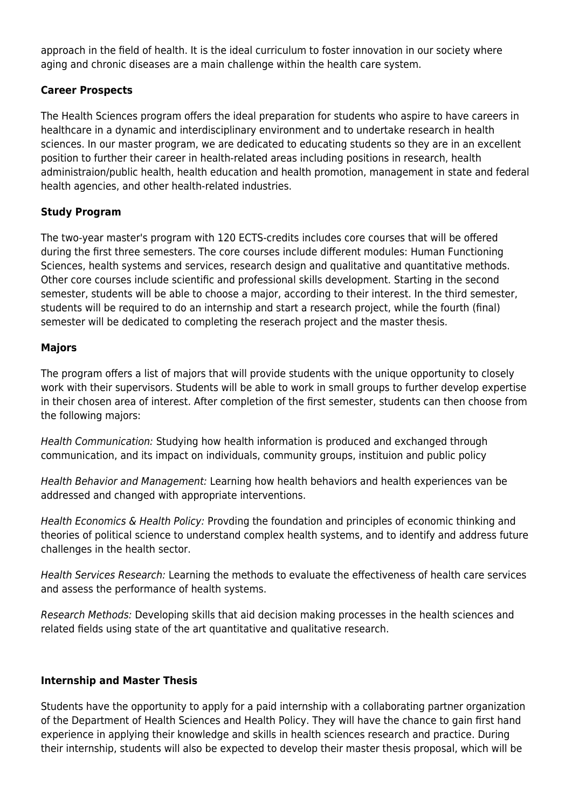approach in the field of health. It is the ideal curriculum to foster innovation in our society where aging and chronic diseases are a main challenge within the health care system.

# **Career Prospects**

The Health Sciences program offers the ideal preparation for students who aspire to have careers in healthcare in a dynamic and interdisciplinary environment and to undertake research in health sciences. In our master program, we are dedicated to educating students so they are in an excellent position to further their career in health-related areas including positions in research, health administraion/public health, health education and health promotion, management in state and federal health agencies, and other health-related industries.

# **Study Program**

The two-year master's program with 120 ECTS-credits includes core courses that will be offered during the first three semesters. The core courses include different modules: Human Functioning Sciences, health systems and services, research design and qualitative and quantitative methods. Other core courses include scientific and professional skills development. Starting in the second semester, students will be able to choose a major, according to their interest. In the third semester, students will be required to do an internship and start a research project, while the fourth (final) semester will be dedicated to completing the reserach project and the master thesis.

# **Majors**

The program offers a list of majors that will provide students with the unique opportunity to closely work with their supervisors. Students will be able to work in small groups to further develop expertise in their chosen area of interest. After completion of the first semester, students can then choose from the following majors:

Health Communication: Studying how health information is produced and exchanged through communication, and its impact on individuals, community groups, instituion and public policy

Health Behavior and Management: Learning how health behaviors and health experiences van be addressed and changed with appropriate interventions.

Health Economics & Health Policy: Provding the foundation and principles of economic thinking and theories of political science to understand complex health systems, and to identify and address future challenges in the health sector.

Health Services Research: Learning the methods to evaluate the effectiveness of health care services and assess the performance of health systems.

Research Methods: Developing skills that aid decision making processes in the health sciences and related fields using state of the art quantitative and qualitative research.

# **Internship and Master Thesis**

Students have the opportunity to apply for a paid internship with a collaborating partner organization of the Department of Health Sciences and Health Policy. They will have the chance to gain first hand experience in applying their knowledge and skills in health sciences research and practice. During their internship, students will also be expected to develop their master thesis proposal, which will be